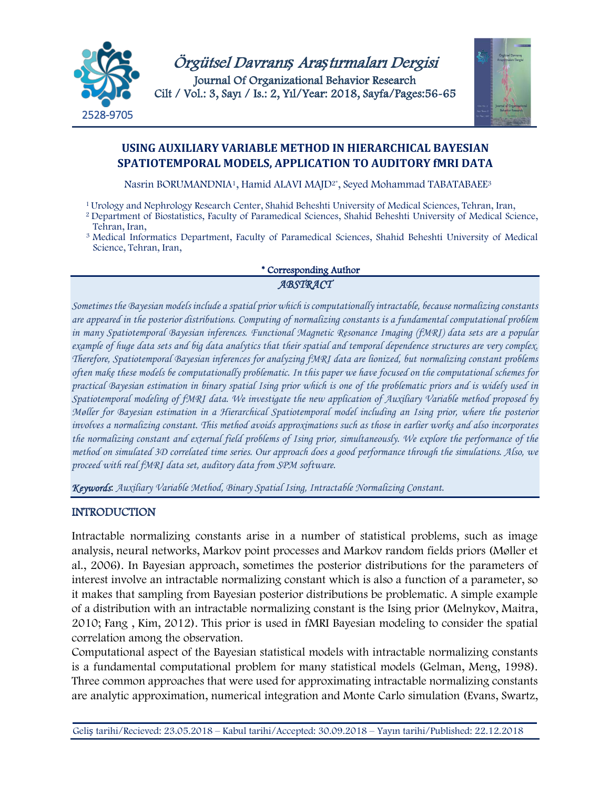

Örgütsel Davranı*ş* Ara*ş*tırmaları Dergisi Journal Of Organizational Behavior Research Cilt / Vol.: 3, Sayı / Is.: 2, Yıl/Year: 2018, Sayfa/Pages:56-65



# **USING AUXILIARY VARIABLE METHOD IN HIERARCHICAL BAYESIAN SPATIOTEMPORAL MODELS, APPLICATION TO AUDITORY fMRI DATA**

Nasrin BORUMANDNIA1, Hamid ALAVI MAJD2\*, Seyed Mohammad TABATABAEE3

1Urology and Nephrology Research Center, Shahid Beheshti University of Medical Sciences, Tehran, Iran,

- <sup>2</sup> Department of Biostatistics, Faculty of Paramedical Sciences, Shahid Beheshti University of Medical Science, Tehran, Iran,
- <sup>3</sup> Medical Informatics Department, Faculty of Paramedical Sciences, Shahid Beheshti University of Medical Science, Tehran, Iran,

# \* Corresponding Author *ABSTRACT*

*Sometimes the Bayesian models include a spatial prior which is computationally intractable, because normalizing constants are appeared in the posterior distributions. Computing of normalizing constants is a fundamental computational problem in many Spatiotemporal Bayesian inferences. Functional Magnetic Resonance Imaging (fMRI) data sets are a popular example of huge data sets and big data analytics that their spatial and temporal dependence structures are very complex. Therefore, Spatiotemporal Bayesian inferences for analyzing fMRI data are lionized, but normalizing constant problems often make these models be computationally problematic. In this paper we have focused on the computational schemes for practical Bayesian estimation in binary spatial Ising prior which is one of the problematic priors and is widely used in Spatiotemporal modeling of fMRI data. We investigate the new application of Auxiliary Variable method proposed by Møller for Bayesian estimation in a Hierarchical Spatiotemporal model including an Ising prior, where the posterior involves a normalizing constant. This method avoids approximations such as those in earlier works and also incorporates the normalizing constant and external field problems of Ising prior, simultaneously. We explore the performance of the method on simulated 3D correlated time series. Our approach does a good performance through the simulations. Also, we proceed with real fMRI data set, auditory data from SPM software.*

*Keywords*: *Auxiliary Variable Method, Binary Spatial Ising, Intractable Normalizing Constant.*

## INTRODUCTION

Intractable normalizing constants arise in a number of statistical problems, such as image analysis, neural networks, Markov point processes and Markov random fields priors (Møller et al., 2006). In Bayesian approach, sometimes the posterior distributions for the parameters of interest involve an intractable normalizing constant which is also a function of a parameter, so it makes that sampling from Bayesian posterior distributions be problematic. A simple example of a distribution with an intractable normalizing constant is the Ising prior (Melnykov, Maitra, 2010; Fang , Kim, 2012). This prior is used in fMRI Bayesian modeling to consider the spatial correlation among the observation.

Computational aspect of the Bayesian statistical models with intractable normalizing constants is a fundamental computational problem for many statistical models (Gelman, Meng, 1998). Three common approaches that were used for approximating intractable normalizing constants are analytic approximation, numerical integration and Monte Carlo simulation (Evans, Swartz,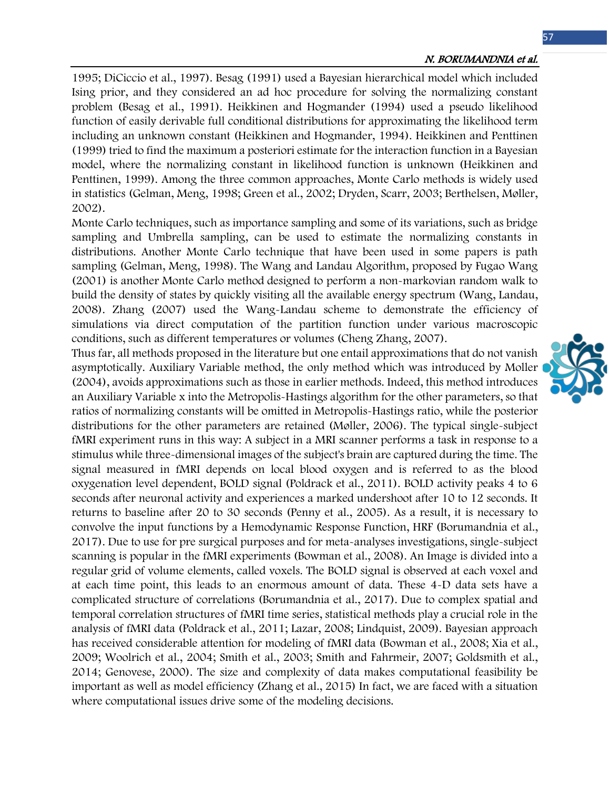1995; DiCiccio et al., 1997). Besag (1991) used a Bayesian hierarchical model which included Ising prior, and they considered an ad hoc procedure for solving the normalizing constant problem (Besag et al., 1991). Heikkinen and Hogmander (1994) used a pseudo likelihood function of easily derivable full conditional distributions for approximating the likelihood term including an unknown constant (Heikkinen and Hogmander, 1994). Heikkinen and Penttinen (1999) tried to find the maximum a posteriori estimate for the interaction function in a Bayesian model, where the normalizing constant in likelihood function is unknown (Heikkinen and Penttinen, 1999). Among the three common approaches, Monte Carlo methods is widely used in statistics (Gelman, Meng, 1998; Green et al., 2002; Dryden, Scarr, 2003; Berthelsen, Møller, 2002).

Monte Carlo techniques, such as importance sampling and some of its variations, such as bridge sampling and Umbrella sampling, can be used to estimate the normalizing constants in distributions. Another Monte Carlo technique that have been used in some papers is path sampling (Gelman, Meng, 1998). The Wang and Landau Algorithm, proposed by Fugao Wang (2001) is another Monte Carlo method designed to perform a non-markovian random walk to build the density of states by quickly visiting all the available energy spectrum (Wang, Landau, 2008). Zhang (2007) used the Wang-Landau scheme to demonstrate the efficiency of simulations via direct computation of the partition function under various macroscopic conditions, such as different temperatures or volumes (Cheng Zhang, 2007).

Thus far, all methods proposed in the literature but one entail approximations that do not vanish asymptotically. Auxiliary Variable method, the only method which was introduced by Moller (2004), avoids approximations such as those in earlier methods. Indeed, this method introduces an Auxiliary Variable x into the Metropolis-Hastings algorithm for the other parameters, so that ratios of normalizing constants will be omitted in Metropolis-Hastings ratio, while the posterior distributions for the other parameters are retained (Møller, 2006). The typical single-subject fMRI experiment runs in this way: A subject in a MRI scanner performs a task in response to a stimulus while three-dimensional images of the subject's brain are captured during the time. The signal measured in fMRI depends on local blood oxygen and is referred to as the blood oxygenation level dependent, BOLD signal (Poldrack et al., 2011). BOLD activity peaks 4 to 6 seconds after neuronal activity and experiences a marked undershoot after 10 to 12 seconds. It returns to baseline after 20 to 30 seconds (Penny et al., 2005). As a result, it is necessary to convolve the input functions by a Hemodynamic Response Function, HRF (Borumandnia et al., 2017). Due to use for pre surgical purposes and for meta-analyses investigations, single-subject scanning is popular in the fMRI experiments (Bowman et al., 2008). An Image is divided into a regular grid of volume elements, called voxels. The BOLD signal is observed at each voxel and at each time point, this leads to an enormous amount of data. These 4-D data sets have a complicated structure of correlations (Borumandnia et al., 2017). Due to complex spatial and temporal correlation structures of fMRI time series, statistical methods play a crucial role in the analysis of fMRI data (Poldrack et al., 2011; Lazar, 2008; Lindquist, 2009). Bayesian approach has received considerable attention for modeling of fMRI data (Bowman et al., 2008; Xia et al., 2009; Woolrich et al., 2004; Smith et al., 2003; Smith and Fahrmeir, 2007; Goldsmith et al., 2014; Genovese, 2000). The size and complexity of data makes computational feasibility be important as well as model efficiency (Zhang et al., 2015) In fact, we are faced with a situation where computational issues drive some of the modeling decisions.

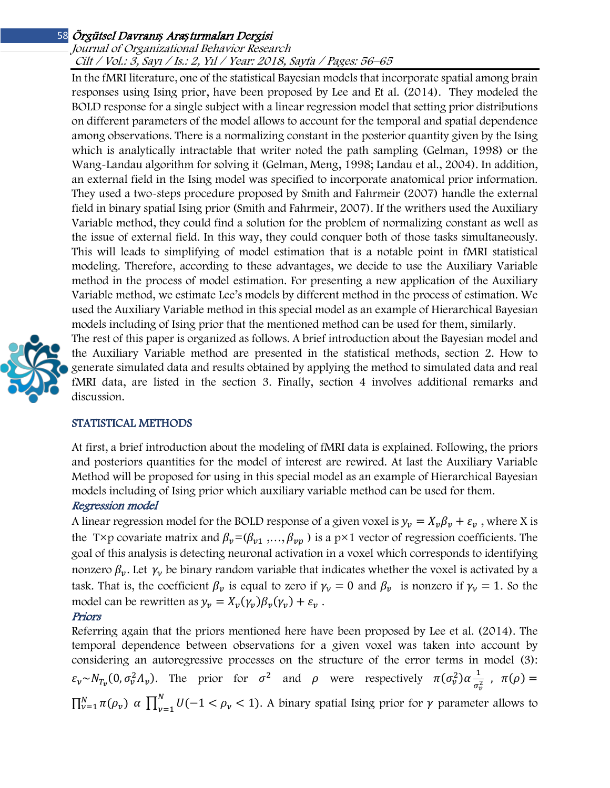### Journal of Organizational Behavior Research Cilt / Vol.: 3, Sayı / Is.: 2, Yıl / Year: 2018, Sayfa / Pages: 56–65

In the fMRI literature, one of the statistical Bayesian models that incorporate spatial among brain responses using Ising prior, have been proposed by Lee and Et al. (2014). They modeled the BOLD response for a single subject with a linear regression model that setting prior distributions on different parameters of the model allows to account for the temporal and spatial dependence among observations. There is a normalizing constant in the posterior quantity given by the Ising which is analytically intractable that writer noted the path sampling (Gelman, 1998) or the Wang-Landau algorithm for solving it (Gelman, Meng, 1998; Landau et al., 2004). In addition, an external field in the Ising model was specified to incorporate anatomical prior information. They used a two-steps procedure proposed by Smith and Fahrmeir (2007) handle the external field in binary spatial Ising prior (Smith and Fahrmeir, 2007). If the writhers used the Auxiliary Variable method, they could find a solution for the problem of normalizing constant as well as the issue of external field. In this way, they could conquer both of those tasks simultaneously. This will leads to simplifying of model estimation that is a notable point in fMRI statistical modeling. Therefore, according to these advantages, we decide to use the Auxiliary Variable method in the process of model estimation. For presenting a new application of the Auxiliary Variable method, we estimate Lee's models by different method in the process of estimation. We used the Auxiliary Variable method in this special model as an example of Hierarchical Bayesian models including of Ising prior that the mentioned method can be used for them, similarly.



The rest of this paper is organized as follows. A brief introduction about the Bayesian model and the Auxiliary Variable method are presented in the statistical methods, section 2. How to generate simulated data and results obtained by applying the method to simulated data and real fMRI data, are listed in the section 3. Finally, section 4 involves additional remarks and discussion.

## STATISTICAL METHODS

At first, a brief introduction about the modeling of fMRI data is explained. Following, the priors and posteriors quantities for the model of interest are rewired. At last the Auxiliary Variable Method will be proposed for using in this special model as an example of Hierarchical Bayesian models including of Ising prior which auxiliary variable method can be used for them.

## Regression model

A linear regression model for the BOLD response of a given voxel is  $y_v = X_v \beta_v + \varepsilon_v$ , where X is the T×p covariate matrix and  $\beta_v = (\beta_{v1}, ..., \beta_{vp})$  is a p×1 vector of regression coefficients. The goal of this analysis is detecting neuronal activation in a voxel which corresponds to identifying nonzero  $\beta_{\nu}$ . Let  $\gamma_{\nu}$  be binary random variable that indicates whether the voxel is activated by a task. That is, the coefficient  $\beta_{\nu}$  is equal to zero if  $\gamma_{\nu} = 0$  and  $\beta_{\nu}$  is nonzero if  $\gamma_{\nu} = 1$ . So the model can be rewritten as  $y_v = X_v(\gamma_v)\beta_v(\gamma_v) + \varepsilon_v$ .

## Priors

Referring again that the priors mentioned here have been proposed by Lee et al. (2014). The temporal dependence between observations for a given voxel was taken into account by considering an autoregressive processes on the structure of the error terms in model (3):  $\varepsilon_v \sim N_{T_v}(0, \sigma_v^2 \Lambda_v)$ . The prior for  $\sigma^2$  and  $\rho$  were respectively  $\pi(\sigma_v^2) \alpha \frac{1}{\sigma_v^2}$  $\frac{1}{\sigma_v^2}$ ,  $\pi(\rho) =$  $\prod_{\nu=1}^N \pi(\rho_\nu)$   $\alpha$   $\prod_{\nu=1}^N U(-1 < \rho_\nu < 1)$ . A binary spatial Ising prior for  $\gamma$  parameter allows to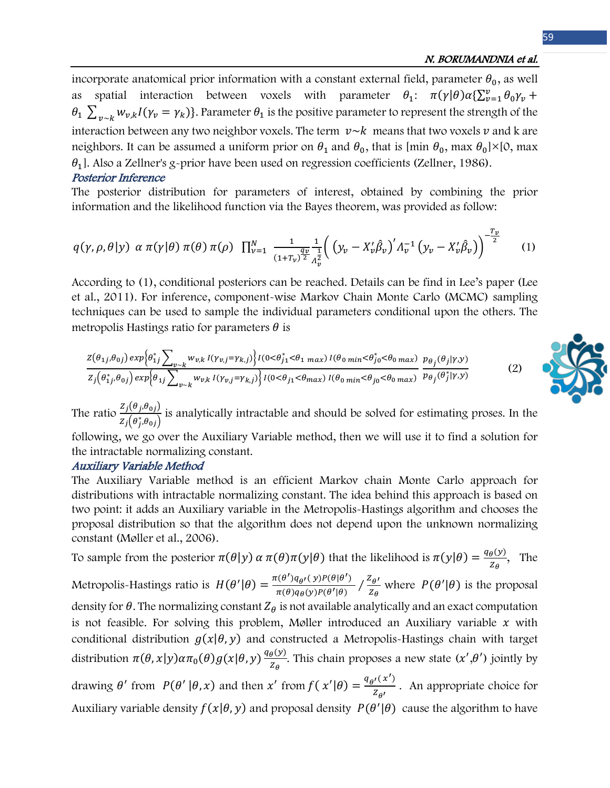### N. BORUMANDNIA et al.

incorporate anatomical prior information with a constant external field, parameter  $\theta_0$ , as well as spatial interaction between voxels with parameter  $\theta_1$ :  $\pi(\gamma|\theta)\alpha\{\sum_{\nu=1}^{\nu}\theta_0\gamma_{\nu} +$  $\theta_1 \sum_{\nu \sim k} w_{\nu,k} I(\gamma_{\nu} = \gamma_k)$ . Parameter  $\theta_1$  is the positive parameter to represent the strength of the interaction between any two neighbor voxels. The term  $v \sim k$  means that two voxels  $v$  and k are neighbors. It can be assumed a uniform prior on  $\theta_1$  and  $\theta_0$ , that is [min  $\theta_0$ , max  $\theta_0$ ]×[0, max  $\theta_1$ . Also a Zellner's g-prior have been used on regression coefficients (Zellner, 1986).

### Posterior Inference

The posterior distribution for parameters of interest, obtained by combining the prior information and the likelihood function via the Bayes theorem, was provided as follow:

$$
q(\gamma, \rho, \theta | y) \alpha \pi(\gamma | \theta) \pi(\theta) \pi(\rho) \prod_{\nu=1}^{N} \frac{1}{(1+T_{\nu})^{\frac{q_{\nu}}{2}} \frac{1}{\Lambda_{\nu}^2}} \Big( \Big( y_{\nu} - X_{\nu}' \hat{\beta}_{\nu} \Big)' \Lambda_{\nu}^{-1} \Big( y_{\nu} - X_{\nu}' \hat{\beta}_{\nu} \Big) \Big)^{-\frac{T_{\nu}}{2}} \qquad (1)
$$

According to (1), conditional posteriors can be reached. Details can be find in Lee's paper (Lee et al., 2011). For inference, component-wise Markov Chain Monte Carlo (MCMC) sampling techniques can be used to sample the individual parameters conditional upon the others. The metropolis Hastings ratio for parameters  $\theta$  is

$$
\frac{Z(\theta_{1j},\theta_{0j}) \exp\left\{\theta_{1j}^*\sum_{\nu\sim k} w_{\nu,k} I(\gamma_{\nu,j}=\gamma_{k,j})\right\} I(0<\theta_{j1}^*<\theta_{1\ max}) I(\theta_{0\ min}<\theta_{j0}^*<\theta_{0\ max})}{Z_j(\theta_{1j}^*\theta_{0j}) \exp\left\{\theta_{1j}\sum_{\nu\sim k} w_{\nu,k} I(\gamma_{\nu,j}=\gamma_{k,j})\right\} I(0<\theta_{j1}<\theta_{max}) I(\theta_{0\ min}<\theta_{j0}<\theta_{0\ max})} \frac{p_{\theta_j}(\theta_j|\gamma,y)}{p_{\theta_j}(\theta_j|\gamma,y)}\tag{2}
$$

The ratio  $\frac{Z_j(\theta_j,\theta_{0j})}{Z(\theta_j,\theta_{0j})}$  $\frac{Z_1(\sigma_j,\sigma_{0j})}{Z_j(\theta_j^*,\theta_{0j})}$  is analytically intractable and should be solved for estimating proses. In the

following, we go over the Auxiliary Variable method, then we will use it to find a solution for the intractable normalizing constant.

### Auxiliary Variable Method

The Auxiliary Variable method is an efficient Markov chain Monte Carlo approach for distributions with intractable normalizing constant. The idea behind this approach is based on two point: it adds an Auxiliary variable in the Metropolis-Hastings algorithm and chooses the proposal distribution so that the algorithm does not depend upon the unknown normalizing constant (Møller et al., 2006).

To sample from the posterior  $\pi(\theta|y)$   $\alpha \pi(\theta)\pi(y|\theta)$  that the likelihood is  $\pi(y|\theta) = \frac{q_{\theta}(y)}{z_{\theta}}$ , The Metropolis-Hastings ratio is  $H(\theta'|\theta) = \frac{\pi(\theta')q_{\theta'}(y)P(\theta|\theta')}{\pi(\theta)q_{\theta}(y)P(\theta'|\theta)} / \frac{Z_{\theta'}}{Z_{\theta}}$  where  $P(\theta'|\theta)$  is the proposal density for  $\theta$ . The normalizing constant  $Z_{\theta}$  is not available analytically and an exact computation is not feasible. For solving this problem, Møller introduced an Auxiliary variable  $x$  with conditional distribution  $g(x|\theta, y)$  and constructed a Metropolis-Hastings chain with target distribution  $\pi(\theta, x|y) \alpha \pi_0(\theta) g(x|\theta, y) \frac{q_\theta(y)}{z_\theta}$  $\frac{\partial (y)}{\partial z_{\theta}}$ . This chain proposes a new state  $(x', \theta')$  jointly by drawing  $\theta'$  from  $P(\theta' | \theta, x)$  and then  $x'$  from  $f(x' | \theta) = \frac{q_{\theta'}(x')}{z_{\theta'}}$ . An appropriate choice for Auxiliary variable density  $f(x|\theta, y)$  and proposal density  $P(\theta'|\theta)$  cause the algorithm to have

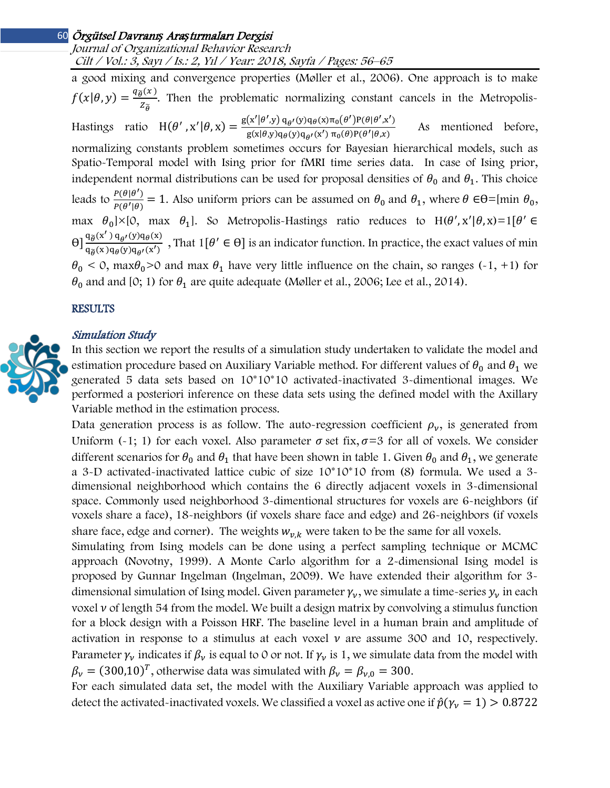Journal of Organizational Behavior Research Cilt / Vol.: 3, Sayı / Is.: 2, Yıl / Year: 2018, Sayfa / Pages: 56–65

a good mixing and convergence properties (Møller et al., 2006). One approach is to make  $f(x|\theta, y) = \frac{q_{\widetilde{\theta}}(x)}{z_{\widetilde{\theta}}}$ . Then the problematic normalizing constant cancels in the Metropolis-Hastings ratio  $H(\theta', x'|\theta, x) = \frac{g(x'|\theta', y) q_{\theta'}(y) q_{\theta}(x) \pi_0(\theta') P(\theta|\theta', x')}{g(x|\theta, y) q_{\theta}(y) q_{\theta'}(x') \pi_0(\theta) P(\theta'|\theta, x)}$  As mentioned before, normalizing constants problem sometimes occurs for Bayesian hierarchical models, such as Spatio-Temporal model with Ising prior for fMRI time series data. In case of Ising prior, independent normal distributions can be used for proposal densities of  $\theta_0$  and  $\theta_1$ . This choice leads to  $\frac{P(\theta|\theta')}{P(\theta'|\theta)} = 1$ . Also uniform priors can be assumed on  $\theta_0$  and  $\theta_1$ , where  $\theta \in \Theta = [\text{min } \theta_0,$ max  $\theta_0$ |×[0, max  $\theta_1$ ]. So Metropolis-Hastings ratio reduces to H( $\theta$ ', x'| $\theta$ , x)=1[ $\theta$ '  $\in$  $\Theta$ ]  $\frac{q_{\widetilde{\theta}}(x') \, q_{\theta}(y) q_{\theta}(x)}{q_{\widetilde{\theta}}(x) q_{\theta}(y) q_{\theta}(x')}$  $\frac{q_{\theta}(x, y, q_{\theta}(y), q_{\theta}(x))}{q_{\theta}(x)q_{\theta}(y)q_{\theta'}(x')}$ , That  $1[\theta' \in \theta]$  is an indicator function. In practice, the exact values of min  $\theta_0$  < 0, max $\theta_0$ >0 and max  $\theta_1$  have very little influence on the chain, so ranges (-1, +1) for  $\theta_0$  and and [0; 1) for  $\theta_1$  are quite adequate (Møller et al., 2006; Lee et al., 2014).

### **RESULTS**

### Simulation Study



In this section we report the results of a simulation study undertaken to validate the model and estimation procedure based on Auxiliary Variable method. For different values of  $\theta_0$  and  $\theta_1$  we generated 5 data sets based on 10\*10\*10 activated-inactivated 3-dimentional images. We performed a posteriori inference on these data sets using the defined model with the Axillary Variable method in the estimation process.

Data generation process is as follow. The auto-regression coefficient  $\rho_{\nu}$ , is generated from Uniform (-1; 1) for each voxel. Also parameter  $\sigma$  set fix,  $\sigma = 3$  for all of voxels. We consider different scenarios for  $\theta_0$  and  $\theta_1$  that have been shown in table 1. Given  $\theta_0$  and  $\theta_1$ , we generate a 3-D activated-inactivated lattice cubic of size 10\*10\*10 from (8) formula. We used a 3 dimensional neighborhood which contains the 6 directly adjacent voxels in 3-dimensional space. Commonly used neighborhood 3-dimentional structures for voxels are 6-neighbors (if voxels share a face), 18-neighbors (if voxels share face and edge) and 26-neighbors (if voxels share face, edge and corner). The weights  $w_{v,k}$  were taken to be the same for all voxels.

Simulating from Ising models can be done using a perfect sampling technique or MCMC approach (Novotny, 1999). A Monte Carlo algorithm for a 2-dimensional Ising model is proposed by Gunnar Ingelman (Ingelman, 2009). We have extended their algorithm for 3 dimensional simulation of Ising model. Given parameter  $\gamma_{\nu}$ , we simulate a time-series  $\gamma_{\nu}$  in each voxel  $\nu$  of length 54 from the model. We built a design matrix by convolving a stimulus function for a block design with a Poisson HRF. The baseline level in a human brain and amplitude of activation in response to a stimulus at each voxel  $\nu$  are assume 300 and 10, respectively. Parameter  $\gamma_v$  indicates if  $\beta_v$  is equal to 0 or not. If  $\gamma_v$  is 1, we simulate data from the model with  $\beta_{\nu} = (300,10)^T$ , otherwise data was simulated with  $\beta_{\nu} = \beta_{\nu,0} = 300$ .

For each simulated data set, the model with the Auxiliary Variable approach was applied to detect the activated-inactivated voxels. We classified a voxel as active one if  $\hat{p}(\gamma_{\nu} = 1) > 0.8722$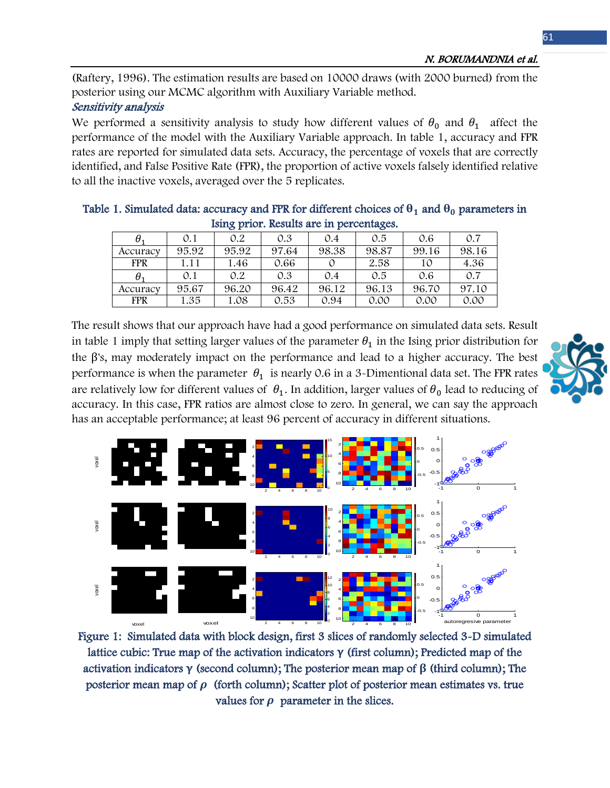(Raftery, 1996). The estimation results are based on 10000 draws (with 2000 burned) from the posterior using our MCMC algorithm with Auxiliary Variable method.

# Sensitivity analysis

We performed a sensitivity analysis to study how different values of  $\theta_0$  and  $\theta_1$  affect the performance of the model with the Auxiliary Variable approach. In table 1, accuracy and FPR rates are reported for simulated data sets. Accuracy, the percentage of voxels that are correctly identified, and False Positive Rate (FPR), the proportion of active voxels falsely identified relative to all the inactive voxels, averaged over the 5 replicates.

|                                          |  |  |  |  |  |  | Table 1. Simulated data: accuracy and FPR for different choices of $\theta_1$ and $\theta_0$ parameters in |  |  |  |
|------------------------------------------|--|--|--|--|--|--|------------------------------------------------------------------------------------------------------------|--|--|--|
| Ising prior. Results are in percentages. |  |  |  |  |  |  |                                                                                                            |  |  |  |

| θ.         | 0.1   | 0.2   | 0.3   | 0.4   | 0.5   | 0.6   | 0.7   |
|------------|-------|-------|-------|-------|-------|-------|-------|
| Accuracy   | 95.92 | 95.92 | 97.64 | 98.38 | 98.87 | 99.16 | 98.16 |
| <b>FPR</b> | 1.11  | 1.46  | 0.66  |       | 2.58  | 10    | 4.36  |
| $\theta_1$ | 0.1   | 0.2   | 0.3   | 0.4   | 0.5   | 0.6   | 0.7   |
| Accuracy   | 95.67 | 96.20 | 96.42 | 96.12 | 96.13 | 96.70 | 97.10 |
| <b>FPR</b> | 1.35  | 1.08  | 0.53  | 0.94  | 0.00  | 0.00  | 0.00  |

The result shows that our approach have had a good performance on simulated data sets. Result in table 1 imply that setting larger values of the parameter  $\theta_1$  in the Ising prior distribution for the β's, may moderately impact on the performance and lead to a higher accuracy. The best performance is when the parameter  $\theta_1$  is nearly 0.6 in a 3-Dimentional data set. The FPR rates are relatively low for different values of  $\theta_1$ . In addition, larger values of  $\theta_0$  lead to reducing of accuracy. In this case, FPR ratios are almost close to zero. In general, we can say the approach has an acceptable performance; at least 96 percent of accuracy in different situations.





Figure 1: Simulated data with block design, first 3 slices of randomly selected 3-D simulated lattice cubic: True map of the activation indicators **γ** (first column); Predicted map of the activation indicators **γ** (second column); The posterior mean map of **β** (third column); The posterior mean map of  $\rho$  (forth column); Scatter plot of posterior mean estimates vs. true values for  $\rho$  parameter in the slices.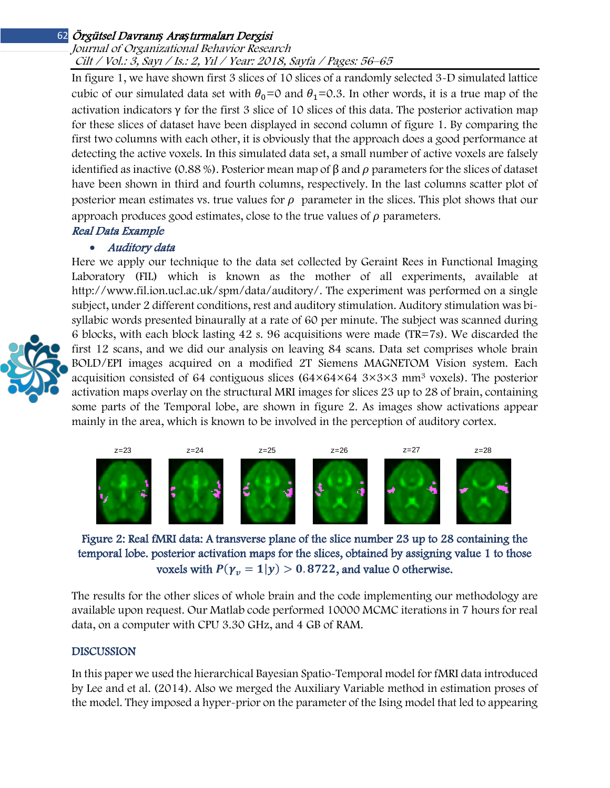### Journal of Organizational Behavior Research Cilt / Vol.: 3, Sayı / Is.: 2, Yıl / Year: 2018, Sayfa / Pages: 56–65

In figure 1, we have shown first 3 slices of 10 slices of a randomly selected 3-D simulated lattice cubic of our simulated data set with  $\theta_0=0$  and  $\theta_1=0.3$ . In other words, it is a true map of the activation indicators  $\gamma$  for the first 3 slice of 10 slices of this data. The posterior activation map for these slices of dataset have been displayed in second column of figure 1. By comparing the first two columns with each other, it is obviously that the approach does a good performance at detecting the active voxels. In this simulated data set, a small number of active voxels are falsely identified as inactive (0.88 %). Posterior mean map of  $\beta$  and  $\rho$  parameters for the slices of dataset have been shown in third and fourth columns, respectively. In the last columns scatter plot of posterior mean estimates vs. true values for  $\rho$  parameter in the slices. This plot shows that our approach produces good estimates, close to the true values of  $\rho$  parameters.

# Real Data Example

## • Auditory data

Here we apply our technique to the data set collected by Geraint Rees in Functional Imaging Laboratory (FIL) which is known as the mother of all experiments, available at [http://www.fil.ion.ucl.ac.uk/spm/data/auditory/.](http://www.fil.ion.ucl.ac.uk/spm/data/auditory/) The experiment was performed on a single subject, under 2 different conditions, rest and auditory stimulation. Auditory stimulation was bisyllabic words presented binaurally at a rate of 60 per minute. The subject was scanned during 6 blocks, with each block lasting 42 s. 96 acquisitions were made (TR=7s). We discarded the first 12 scans, and we did our analysis on leaving 84 scans. Data set comprises whole brain BOLD/EPI images acquired on a modified 2T Siemens MAGNETOM Vision system. Each acquisition consisted of 64 contiguous slices  $(64\times64\times64\times84\times3\times3$  mm<sup>3</sup> voxels). The posterior activation maps overlay on the structural MRI images for slices 23 up to 28 of brain, containing some parts of the Temporal lobe, are shown in figure 2. As images show activations appear mainly in the area, which is known to be involved in the perception of auditory cortex.



Figure 2: Real fMRI data: A transverse plane of the slice number 23 up to 28 containing the temporal lobe. posterior activation maps for the slices, obtained by assigning value 1 to those voxels with  $P(\gamma_v = 1 | y) > 0.8722$ , and value 0 otherwise.

The results for the other slices of whole brain and the code implementing our methodology are available upon request. Our Matlab code performed 10000 MCMC iterations in 7 hours for real data, on a computer with CPU 3.30 GHz, and 4 GB of RAM.

### DISCUSSION

In this paper we used the hierarchical Bayesian Spatio-Temporal model for fMRI data introduced by Lee and et al. (2014). Also we merged the Auxiliary Variable method in estimation proses of the model. They imposed a hyper-prior on the parameter of the Ising model that led to appearing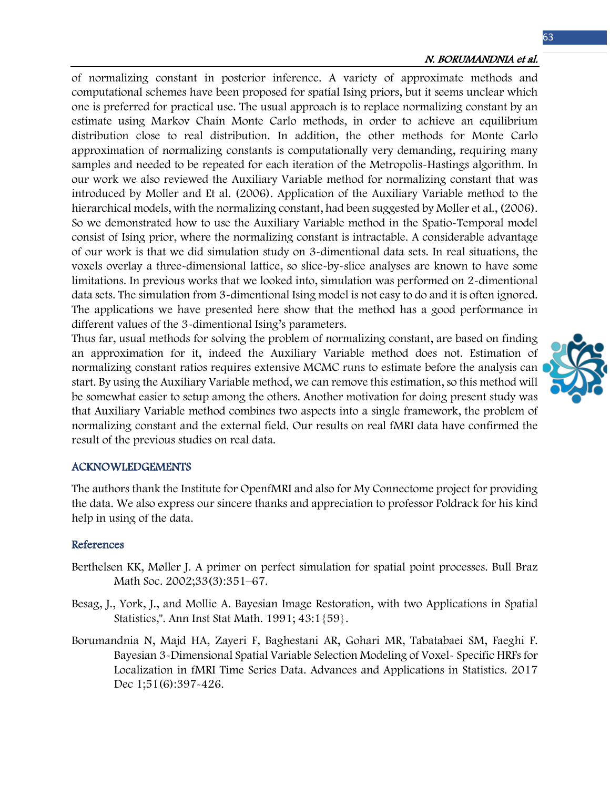### N. BORUMANDNIA et al.

of normalizing constant in posterior inference. A variety of approximate methods and computational schemes have been proposed for spatial Ising priors, but it seems unclear which one is preferred for practical use. The usual approach is to replace normalizing constant by an estimate using Markov Chain Monte Carlo methods, in order to achieve an equilibrium distribution close to real distribution. In addition, the other methods for Monte Carlo approximation of normalizing constants is computationally very demanding, requiring many samples and needed to be repeated for each iteration of the Metropolis-Hastings algorithm. In our work we also reviewed the Auxiliary Variable method for normalizing constant that was introduced by Moller and Et al. (2006). Application of the Auxiliary Variable method to the hierarchical models, with the normalizing constant, had been suggested by Moller et al., (2006). So we demonstrated how to use the Auxiliary Variable method in the Spatio-Temporal model consist of Ising prior, where the normalizing constant is intractable. A considerable advantage of our work is that we did simulation study on 3-dimentional data sets. In real situations, the voxels overlay a three-dimensional lattice, so slice-by-slice analyses are known to have some limitations. In previous works that we looked into, simulation was performed on 2-dimentional data sets. The simulation from 3-dimentional Ising model is not easy to do and it is often ignored. The applications we have presented here show that the method has a good performance in different values of the 3-dimentional Ising's parameters.

Thus far, usual methods for solving the problem of normalizing constant, are based on finding an approximation for it, indeed the Auxiliary Variable method does not. Estimation of normalizing constant ratios requires extensive MCMC runs to estimate before the analysis can start. By using the Auxiliary Variable method, we can remove this estimation, so this method will be somewhat easier to setup among the others. Another motivation for doing present study was that Auxiliary Variable method combines two aspects into a single framework, the problem of normalizing constant and the external field. Our results on real fMRI data have confirmed the result of the previous studies on real data.

#### ACKNOWLEDGEMENTS

The authors thank the Institute for OpenfMRI and also for My Connectome project for providing the data. We also express our sincere thanks and appreciation to professor Poldrack for his kind help in using of the data.

### References

- Berthelsen KK, Møller J. A primer on perfect simulation for spatial point processes. Bull Braz Math Soc. 2002;33(3):351–67.
- Besag, J., York, J., and Mollie A. Bayesian Image Restoration, with two Applications in Spatial Statistics,". Ann Inst Stat Math. 1991; 43:1{59}.
- Borumandnia N, Majd HA, Zayeri F, Baghestani AR, Gohari MR, Tabatabaei SM, Faeghi F. Bayesian 3-Dimensional Spatial Variable Selection Modeling of Voxel- Specific HRFs for Localization in fMRI Time Series Data. Advances and Applications in Statistics. 2017 Dec 1;51(6):397-426.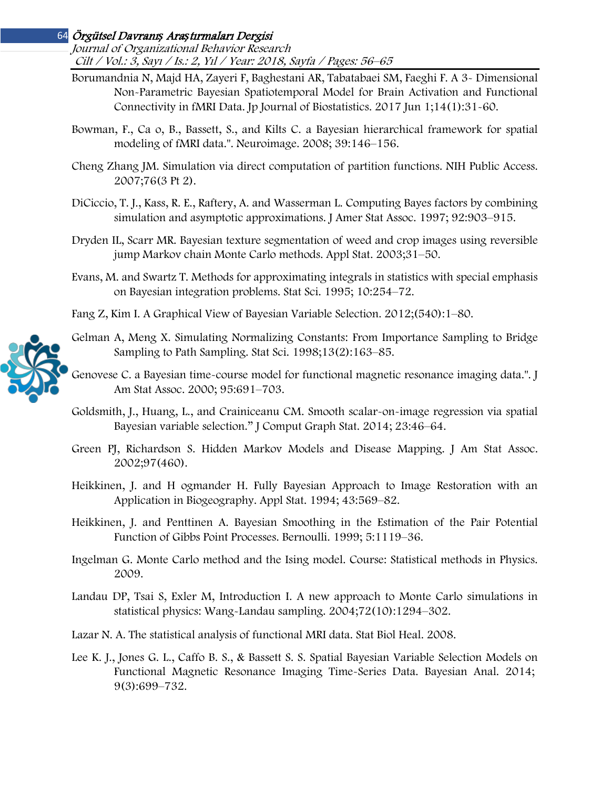Journal of Organizational Behavior Research Cilt / Vol.: 3, Sayı / Is.: 2, Yıl / Year: 2018, Sayfa / Pages: 56–65

- Borumandnia N, Majd HA, Zayeri F, Baghestani AR, Tabatabaei SM, Faeghi F. A 3- Dimensional Non-Parametric Bayesian Spatiotemporal Model for Brain Activation and Functional Connectivity in fMRI Data. Jp Journal of Biostatistics. 2017 Jun 1;14(1):31-60.
- Bowman, F., Ca o, B., Bassett, S., and Kilts C. a Bayesian hierarchical framework for spatial modeling of fMRI data.". Neuroimage. 2008; 39:146–156.
- Cheng Zhang JM. Simulation via direct computation of partition functions. NIH Public Access. 2007;76(3 Pt 2).
- DiCiccio, T. J., Kass, R. E., Raftery, A. and Wasserman L. Computing Bayes factors by combining simulation and asymptotic approximations. J Amer Stat Assoc. 1997; 92:903–915.
- Dryden IL, Scarr MR. Bayesian texture segmentation of weed and crop images using reversible jump Markov chain Monte Carlo methods. Appl Stat. 2003;31–50.
- Evans, M. and Swartz T. Methods for approximating integrals in statistics with special emphasis on Bayesian integration problems. Stat Sci. 1995; 10:254–72.
- Fang Z, Kim I. A Graphical View of Bayesian Variable Selection. 2012;(540):1–80.
- Gelman A, Meng X. Simulating Normalizing Constants: From Importance Sampling to Bridge Sampling to Path Sampling. Stat Sci. 1998;13(2):163–85.
- Genovese C. a Bayesian time-course model for functional magnetic resonance imaging data.". J Am Stat Assoc. 2000; 95:691–703.
- Goldsmith, J., Huang, L., and Crainiceanu CM. Smooth scalar-on-image regression via spatial Bayesian variable selection." J Comput Graph Stat. 2014; 23:46–64.
- Green PJ, Richardson S. Hidden Markov Models and Disease Mapping. J Am Stat Assoc. 2002;97(460).
- Heikkinen, J. and H ogmander H. Fully Bayesian Approach to Image Restoration with an Application in Biogeography. Appl Stat. 1994; 43:569–82.
- Heikkinen, J. and Penttinen A. Bayesian Smoothing in the Estimation of the Pair Potential Function of Gibbs Point Processes. Bernoulli. 1999; 5:1119–36.
- Ingelman G. Monte Carlo method and the Ising model. Course: Statistical methods in Physics. 2009.
- Landau DP, Tsai S, Exler M, Introduction I. A new approach to Monte Carlo simulations in statistical physics: Wang-Landau sampling. 2004;72(10):1294–302.
- Lazar N. A. The statistical analysis of functional MRI data. Stat Biol Heal. 2008.
- Lee K. J., Jones G. L., Caffo B. S., & Bassett S. S. Spatial Bayesian Variable Selection Models on Functional Magnetic Resonance Imaging Time-Series Data. Bayesian Anal. 2014; 9(3):699–732.